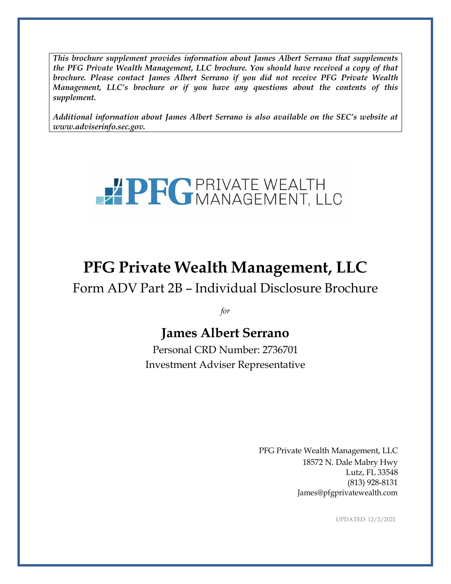*This brochure supplement provides information about James Albert Serrano that supplements the PFG Private Wealth Management, LLC brochure. You should have received a copy of that brochure. Please contact James Albert Serrano if you did not receive PFG Private Wealth Management, LLC's brochure or if you have any questions about the contents of this supplement.*

*Additional information about James Albert Serrano is also available on the SEC's website at [www.adviserinfo.sec.gov.](http://www.adviserinfo.sec.gov/)*



# **PFG Private Wealth Management, LLC**

Form ADV Part 2B – Individual Disclosure Brochure

*for*

## **James Albert Serrano**

Personal CRD Number: 2736701 Investment Adviser Representative

> PFG Private Wealth Management, LLC 18572 N. Dale Mabry Hwy Lutz, FL 33548 (813) 928-8131 [James@pfgprivatewealth.com](mailto:James@pfgprivatewealth.com)

> > UPDATED: 12/2/2021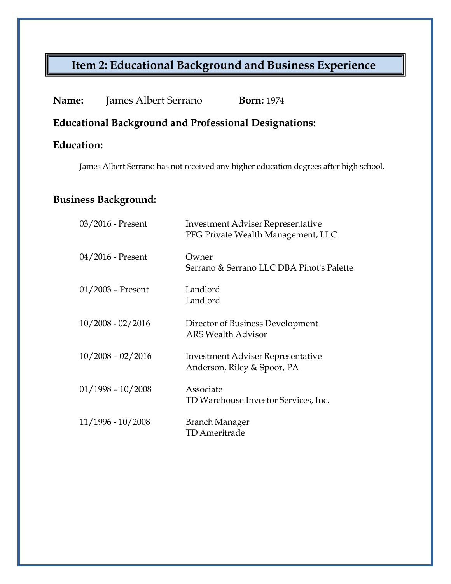# **Item 2: Educational Background and Business Experience**

**Name:** James Albert Serrano **Born:** 1974

**Educational Background and Professional Designations:**

## **Education:**

James Albert Serrano has not received any higher education degrees after high school.

## **Business Background:**

| $03/2016$ - Present | <b>Investment Adviser Representative</b><br>PFG Private Wealth Management, LLC |
|---------------------|--------------------------------------------------------------------------------|
| $04/2016$ - Present | Owner<br>Serrano & Serrano LLC DBA Pinot's Palette                             |
| $01/2003$ – Present | Landlord<br>Landlord                                                           |
| $10/2008 - 02/2016$ | Director of Business Development<br><b>ARS Wealth Advisor</b>                  |
| $10/2008 - 02/2016$ | <b>Investment Adviser Representative</b><br>Anderson, Riley & Spoor, PA        |
| $01/1998 - 10/2008$ | Associate<br>TD Warehouse Investor Services, Inc.                              |
| $11/1996 - 10/2008$ | Branch Manager<br><b>TD</b> Ameritrade                                         |